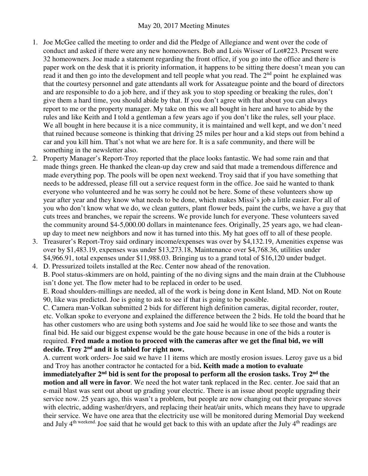## May 20, 2017 Meeting Minutes

- 1. Joe McGee called the meeting to order and did the Pledge of Allegiance and went over the code of conduct and asked if there were any new homeowners. Bob and Lois Wisser of Lot#223. Present were 32 homeowners. Joe made a statement regarding the front office, if you go into the office and there is paper work on the desk that it is priority information, it happens to be sitting there doesn't mean you can read it and then go into the development and tell people what you read. The  $2<sup>nd</sup>$  point he explained was that the courtesy personnel and gate attendants all work for Assateague pointe and the board of directors and are responsible to do a job here, and if they ask you to stop speeding or breaking the rules, don't give them a hard time, you should abide by that. If you don't agree with that about you can always report to me or the property manager. My take on this we all bought in here and have to abide by the rules and like Keith and I told a gentleman a few years ago if you don't like the rules, sell your place. We all bought in here because it is a nice community, it is maintained and well kept, and we don't need that ruined because someone is thinking that driving 25 miles per hour and a kid steps out from behind a car and you kill him. That's not what we are here for. It is a safe community, and there will be something in the newsletter also.
- 2. Property Manager's Report-Troy reported that the place looks fantastic. We had some rain and that made things green. He thanked the clean-up day crew and said that made a tremendous difference and made everything pop. The pools will be open next weekend. Troy said that if you have something that needs to be addressed, please fill out a service request form in the office. Joe said he wanted to thank everyone who volunteered and he was sorry he could not be here. Some of these volunteers show up year after year and they know what needs to be done, which makes Missi's job a little easier. For all of you who don't know what we do, we clean gutters, plant flower beds, paint the curbs, we have a guy that cuts trees and branches, we repair the screens. We provide lunch for everyone. These volunteers saved the community around \$4-5,000.00 dollars in maintenance fees. Originally, 25 years ago, we had cleanup day to meet new neighbors and now it has turned into this. My hat goes off to all of these people.
- 3. Treasurer's Report-Troy said ordinary income/expenses was over by \$4,132.19, Amenities expense was over by \$1,483.19, expenses was under \$13,273.18, Maintenance over \$4,768.36, utilities under \$4,966.91, total expenses under \$11,988.03. Bringing us to a grand total of \$16,120 under budget.
- 4. D. Pressurized toilets installed at the Rec. Center now ahead of the renovation. B. Pool status-skimmers are on hold, painting of the no diving signs and the main drain at the Clubhouse isn't done yet. The flow meter had to be replaced in order to be used.

E. Road shoulders-millings are needed, all of the work is being done in Kent Island, MD. Not on Route 90, like was predicted. Joe is going to ask to see if that is going to be possible.

C. Camera man-Volkan submitted 2 bids for different high definition cameras, digital recorder, router, etc. Volkan spoke to everyone and explained the difference between the 2 bids. He told the board that he has other customers who are using both systems and Joe said he would like to see those and wants the final bid. He said our biggest expense would be the gate house because in one of the bids a router is required. **Fred made a motion to proceed with the cameras after we get the final bid, we will decide. Troy 2nd and it is tabled for right now.** 

A. current work orders- Joe said we have 11 items which are mostly erosion issues. Leroy gave us a bid and Troy has another contractor he contacted for a bid**. Keith made a motion to evaluate immediatelyafter 2nd bid is sent for the proposal to perform all the erosion tasks. Troy 2nd the motion and all were in favor**. We need the hot water tank replaced in the Rec. center. Joe said that an e-mail blast was sent out about up grading your electric. There is an issue about people upgrading their service now. 25 years ago, this wasn't a problem, but people are now changing out their propane stoves with electric, adding washer/dryers, and replacing their heat/air units, which means they have to upgrade their service. We have one area that the electricity use will be monitored during Memorial Day weekend and July 4<sup>th weekend.</sup> Joe said that he would get back to this with an update after the July 4<sup>th</sup> readings are